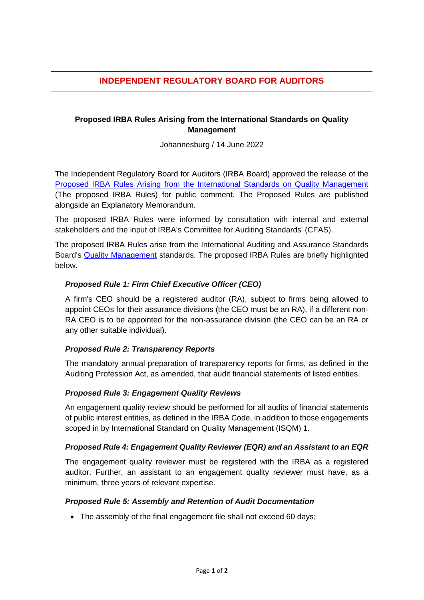# **INDEPENDENT REGULATORY BOARD FOR AUDITORS**

# **Proposed IRBA Rules Arising from the International Standards on Quality Management**

Johannesburg / 14 June 2022

The Independent Regulatory Board for Auditors (IRBA Board) approved the release of the [Proposed IRBA Rules Arising from the International Standards on Quality Management](https://www.irba.co.za/guidance-to-ras/technical-guidance-for-auditors/exposure-drafts-and-comment-letters) (The proposed IRBA Rules) for public comment. The Proposed Rules are published alongside an Explanatory Memorandum.

The proposed IRBA Rules were informed by consultation with internal and external stakeholders and the input of IRBA's Committee for Auditing Standards' (CFAS).

The proposed IRBA Rules arise from the International Auditing and Assurance Standards Board's [Quality Management](https://protect-za.mimecast.com/s/HyJDCmw0AzsJPp1FWtTg4) standards. The proposed IRBA Rules are briefly highlighted below.

### *Proposed Rule 1: Firm Chief Executive Officer (CEO)*

A firm's CEO should be a registered auditor (RA), subject to firms being allowed to appoint CEOs for their assurance divisions (the CEO must be an RA), if a different non-RA CEO is to be appointed for the non-assurance division (the CEO can be an RA or any other suitable individual).

#### *Proposed Rule 2: Transparency Reports*

The mandatory annual preparation of transparency reports for firms, as defined in the Auditing Profession Act, as amended, that audit financial statements of listed entities.

## *Proposed Rule 3: Engagement Quality Reviews*

An engagement quality review should be performed for all audits of financial statements of public interest entities, as defined in the IRBA Code, in addition to those engagements scoped in by International Standard on Quality Management (ISQM) 1.

#### *Proposed Rule 4: Engagement Quality Reviewer (EQR) and an Assistant to an EQR*

The engagement quality reviewer must be registered with the IRBA as a registered auditor. Further, an assistant to an engagement quality reviewer must have, as a minimum, three years of relevant expertise.

#### *Proposed Rule 5: Assembly and Retention of Audit Documentation*

• The assembly of the final engagement file shall not exceed 60 days;